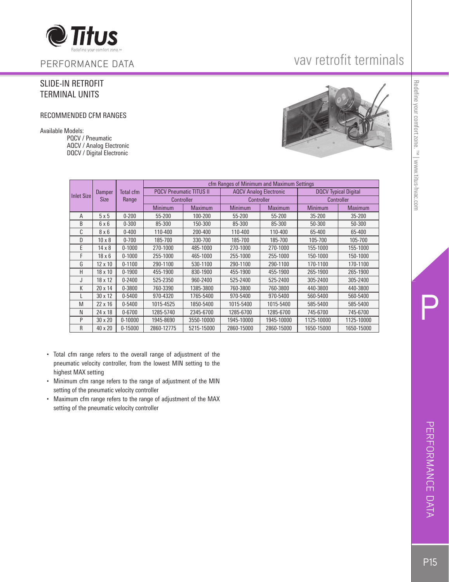

PERFORMANCE DATA

### SLIDE-IN RETROFIT TERMINAL UNITS

#### RECOMMENDED CFM RANGES

Available Models:

 PQCV / Pneumatic AQCV / Analog Electronic DQCV / Digital Electronic

## vav retrofit terminals



| Inlet Size |               |             | cfm Ranges of Minimum and Maximum Settings |                |                               |                |                             |            |  |  |  |  |  |  |  |  |
|------------|---------------|-------------|--------------------------------------------|----------------|-------------------------------|----------------|-----------------------------|------------|--|--|--|--|--|--|--|--|
|            | Damper        | Total cfm   | <b>POCV Pneumatic TITUS II</b>             |                | <b>AQCV Analog Electronic</b> |                | <b>DOCV</b> Typical Digital |            |  |  |  |  |  |  |  |  |
|            | <b>Size</b>   | Range       | <b>Controller</b>                          |                | Controller                    |                |                             | Controller |  |  |  |  |  |  |  |  |
|            |               |             | <b>Minimum</b>                             | <b>Maximum</b> | Minimum                       | <b>Maximum</b> | Minimum                     | Maximum    |  |  |  |  |  |  |  |  |
| A          | 5x5           | $0 - 200$   | 55-200                                     | 100-200        | 55-200                        | 55-200         | $35 - 200$                  | 35-200     |  |  |  |  |  |  |  |  |
| B          | 6x6           | $0 - 300$   | 85-300                                     | 150-300        | 85-300                        | 85-300         | 50-300                      | 50-300     |  |  |  |  |  |  |  |  |
| C          | 8x6           | $0 - 400$   | 110-400                                    | 200-400        | 110-400                       | 110-400        | 65-400                      | 65-400     |  |  |  |  |  |  |  |  |
| D          | $10 \times 8$ | $0 - 700$   | 185-700                                    | 330-700        | 185-700                       | 185-700        | 105-700                     | 105-700    |  |  |  |  |  |  |  |  |
| E          | $14 \times 8$ | $0 - 1000$  | 270-1000                                   | 485-1000       | 270-1000                      | 270-1000       | 155-1000                    | 155-1000   |  |  |  |  |  |  |  |  |
| F          | $18 \times 6$ | $0 - 1000$  | 255-1000                                   | 465-1000       | 255-1000                      | 255-1000       | 150-1000                    | 150-1000   |  |  |  |  |  |  |  |  |
| G          | 12 x 10       | $0 - 1100$  | 290-1100                                   | 530-1100       | 290-1100                      | 290-1100       | 170-1100                    | 170-1100   |  |  |  |  |  |  |  |  |
| Н          | 18 x 10       | $0 - 1900$  | 455-1900                                   | 830-1900       | 455-1900                      | 455-1900       | 265-1900                    | 265-1900   |  |  |  |  |  |  |  |  |
| J          | 18 x 12       | $0 - 2400$  | 525-2350                                   | 960-2400       | 525-2400                      | 525-2400       | 305-2400                    | 305-2400   |  |  |  |  |  |  |  |  |
| К          | 20 x 14       | $0 - 3800$  | 760-3390                                   | 1385-3800      | 760-3800                      | 760-3800       | 440-3800                    | 440-3800   |  |  |  |  |  |  |  |  |
|            | 30 x 12       | $0 - 5400$  | 970-4320                                   | 1765-5400      | 970-5400                      | 970-5400       | 560-5400                    | 560-5400   |  |  |  |  |  |  |  |  |
| M          | 22 x 16       | $0 - 5400$  | 1015-4525                                  | 1850-5400      | 1015-5400                     | 1015-5400      | 585-5400                    | 585-5400   |  |  |  |  |  |  |  |  |
| N          | 24 x 18       | $0 - 6700$  | 1285-5740                                  | 2345-6700      | 1285-6700                     | 1285-6700      | 745-6700                    | 745-6700   |  |  |  |  |  |  |  |  |
| P          | 30 x 20       | $0 - 10000$ | 1945-8690                                  | 3550-10000     | 1945-10000                    | 1945-10000     | 1125-10000                  | 1125-10000 |  |  |  |  |  |  |  |  |
| R          | 40 x 20       | $0 - 15000$ | 2860-12775                                 | 5215-15000     | 2860-15000                    | 2860-15000     | 1650-15000                  | 1650-15000 |  |  |  |  |  |  |  |  |

- Total cfm range refers to the overall range of adjustment of the pneumatic velocity controller, from the lowest MIN setting to the highest MAX setting
- Minimum cfm range refers to the range of adjustment of the MIN setting of the pneumatic velocity controller
- Maximum cfm range refers to the range of adjustment of the MAX setting of the pneumatic velocity controller

P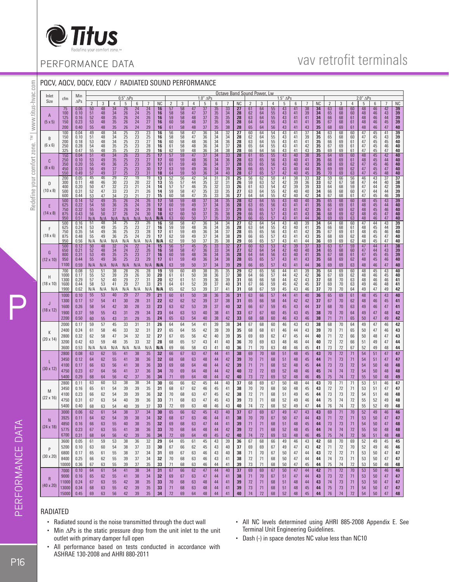

## vav retrofit terminals

## PERFORMANCE DATA

| POCV, AOCV, DOCV, EOCV / RADIATED SOUND PERFORMANCE<br>Octave Band Sound Power, Lw |                       |                                         |                                                        |                                                              |                                                                  |                                                                                      |                                                                   |                                                                                        |                                                                            |                                                                  |                                                              |                                                                      |                                                                       |                                                                 |                                                                                       |                                                           |                                                      |                                                                   |                                         |                                                                  |                                                           |                                                           |                                                                            |                                                                                                         |                                                                        |                                                                  |                                                                                                 |                                                           |                                                              |                                                           |                                                                                                          |
|------------------------------------------------------------------------------------|-----------------------|-----------------------------------------|--------------------------------------------------------|--------------------------------------------------------------|------------------------------------------------------------------|--------------------------------------------------------------------------------------|-------------------------------------------------------------------|----------------------------------------------------------------------------------------|----------------------------------------------------------------------------|------------------------------------------------------------------|--------------------------------------------------------------|----------------------------------------------------------------------|-----------------------------------------------------------------------|-----------------------------------------------------------------|---------------------------------------------------------------------------------------|-----------------------------------------------------------|------------------------------------------------------|-------------------------------------------------------------------|-----------------------------------------|------------------------------------------------------------------|-----------------------------------------------------------|-----------------------------------------------------------|----------------------------------------------------------------------------|---------------------------------------------------------------------------------------------------------|------------------------------------------------------------------------|------------------------------------------------------------------|-------------------------------------------------------------------------------------------------|-----------------------------------------------------------|--------------------------------------------------------------|-----------------------------------------------------------|----------------------------------------------------------------------------------------------------------|
|                                                                                    | Inlet                 | cfm                                     | Min                                                    |                                                              |                                                                  |                                                                                      | $0.5''$ $\Delta$ Ps                                               |                                                                                        |                                                                            |                                                                  |                                                              |                                                                      |                                                                       | $1.0"$ $\Delta$ Ps                                              |                                                                                       |                                                           |                                                      |                                                                   |                                         |                                                                  | $1.5"$ $\Delta$ Ps                                        |                                                           |                                                                            |                                                                                                         |                                                                        |                                                                  |                                                                                                 | $2.0''$ $\Delta$ Ps                                       |                                                              |                                                           |                                                                                                          |
|                                                                                    | Size                  |                                         | $\Delta PS$                                            | $\overline{2}$                                               | 3                                                                | $\overline{4}$                                                                       | 5                                                                 | $\,6\,$                                                                                | $\overline{7}$                                                             | <b>NC</b>                                                        | $\overline{2}$                                               | 3                                                                    | $\overline{4}$                                                        | 5                                                               | 6                                                                                     | $\overline{7}$                                            | <b>NC</b>                                            | $\overline{2}$                                                    | 3                                       | $\overline{4}$                                                   | $5\,$                                                     | 6                                                         | $\overline{7}$                                                             | <b>NC</b>                                                                                               | $\overline{2}$                                                         | 3                                                                | $\overline{4}$                                                                                  | 5                                                         | 6                                                            | $\overline{7}$                                            | <b>NC</b>                                                                                                |
| www.titus-hvac.com                                                                 | A<br>$(5 \times 5)$   | 75<br>100<br>125<br>150<br>200          | 0.06<br>0.10<br>0.16<br>0.23<br>0.40                   | $\frac{50}{51}$<br>$\frac{52}{53}$<br>55                     | $\begin{array}{c} 48 \\ 48 \\ 48 \\ 48 \\ \end{array}$<br>48     | $34$<br>$34$<br>$35$<br>$35$<br>35                                                   | 26<br>26<br>26<br>26<br>$26\,$                                    | 24<br>24<br>24<br>24<br>24                                                             | $\frac{24}{25}$<br>$\frac{26}{27}$<br>29                                   | 16<br>$\frac{16}{16}$<br>16<br>16                                | 57<br>58<br>59<br>60<br>61                                   | 58<br>58<br>58<br>58<br>58                                           | $\frac{47}{48}$<br>$\frac{48}{48}$<br>48                              | $\begin{array}{r} 37 \\ 37 \\ 37 \\ 37 \\ 37 \end{array}$<br>37 | $35$<br>$35$<br>$35$<br>$35$<br>35                                                    | 33<br>34<br>35<br>36<br>38                                | $\frac{27}{28}$<br>$\frac{28}{28}$<br>28             | 61<br>62<br>63<br>64<br>65                                        | 64<br>64<br>64<br>64<br>64              | 55<br>55<br>55<br>55<br>56                                       | $43$<br>$43$<br>$43$<br>$43$<br>43                        | $\frac{41}{41}$<br>41<br>41<br>41                         | 38<br>39<br>41<br>41<br>43                                                 | 34<br>$34$<br>$34$<br>$35$<br>${\bf 35}$                                                                | $\begin{array}{r} 63 \\ 65 \\ 66 \\ 67 \end{array}$<br>68              | $\begin{array}{c} 68 \\ 68 \end{array}$<br>68<br>68<br>69        | $\begin{array}{c} 60 \\ 60 \end{array}$<br>$\begin{array}{c} 61 \\ 61 \end{array}$<br>61        | 48<br>48<br>$\begin{array}{c} 48 \\ 48 \end{array}$<br>48 | $\frac{46}{46}$<br>46<br>46                                  | $42$<br>$43$<br>$44$<br>$45$<br>47                        | $\frac{1}{39}$<br>$\frac{39}{39}$<br>$\frac{39}{39}$<br>40                                               |
| $\geq$                                                                             | B<br>$(6 \times 6)$   | 100<br>150<br>200<br>250<br>325         | 0.04<br>0.10<br>0.18<br>0.28<br>0.47                   | $\frac{49}{51}$                                              | 48<br>48<br>48                                                   | $34$<br>$34$<br>$34$<br>$35$                                                         |                                                                   | 23<br>23<br>23<br>23<br>23<br>23<br>23<br>23<br>23<br>23<br>23<br>23<br>24<br>24<br>21 | 23<br>25<br>27<br>28<br>29<br>25<br>27<br>29<br>30<br>31<br>22<br>24<br>27 | $\frac{16}{16}$<br>16<br>16<br>16                                | 56<br>58<br>60                                               | 58<br>58                                                             | $\frac{47}{47}$<br>48<br>48<br>48                                     | $\frac{36}{36}$<br>36<br>$\frac{36}{36}$                        | $\frac{34}{34}$<br>$34$<br>$34$<br>$34$                                               | 3246333335373940                                          | $\frac{27}{28}$<br>28<br>28<br>28                    | $\frac{60}{62}$<br>63<br>65<br>66                                 | $\frac{64}{64}$<br>$64$<br>$64$<br>$64$ | 54 55 55 56 56 56 56 57 57 50 52 54 55 55 55 55 57 57            | $\frac{43}{43}$<br>43<br>$\frac{43}{43}$                  | $\frac{41}{41}$<br>41<br>41<br>41                         | $\frac{37}{39}$<br>$\frac{41}{42}$<br>$\frac{43}{43}$                      | $\frac{34}{35}$                                                                                         | $\frac{63}{65}$<br>66<br>67<br>69                                      | $\frac{68}{68}$<br>69<br>69<br>69                                | $\begin{array}{c} \hline 60 \\ 60 \end{array}$<br>61<br>$\begin{array}{c} 61 \\ 61 \end{array}$ | $\frac{47}{47}$<br>47<br>$\frac{47}{47}$                  | $\frac{45}{45}$<br>45<br>$\frac{45}{45}$                     | $\frac{41}{43}$<br>45<br>$\frac{46}{47}$                  | $\frac{39}{39}$<br>$\frac{40}{39}$                                                                       |
| your comfort zone                                                                  | C<br>$(8 \times 6)$   | $\frac{150}{250}$<br>350<br>450<br>550  | $0.04$<br>0.04<br>0.10<br>0.20<br>0.33<br>0.49         |                                                              | 48<br>48<br>49<br>49<br>49<br>46<br>46<br>47<br>47               | $\begin{array}{r} 35 \\ 34 \\ 35 \\ 36 \\ 37 \\ 29 \\ 30 \\ 32 \\ 33 \\ \end{array}$ |                                                                   |                                                                                        |                                                                            | $\frac{17}{17}$<br>17<br>$\frac{17}{18}$                         | 61 62 57 60 61 63 64 52 55 57 59 60                          | 58<br>58<br>59<br>59<br>59<br>59<br>59<br>56<br>57<br>57<br>58<br>58 | $\begin{array}{c} 47 \\ 48 \\ 49 \\ 49 \\ \underline{50} \end{array}$ | $\frac{37}{36}$<br>$\frac{36}{36}$<br>$\frac{36}{36}$           | $\begin{array}{r} 34 \\ 34 \\ 34 \\ 34 \\ \underline{34} \end{array}$                 |                                                           | 28<br>28<br>28<br>28<br>28                           | 61<br>63<br>65<br>66<br>67                                        | 65<br>65<br>65<br>65<br>65              |                                                                  | $\begin{array}{r} 43 \\ 43 \\ 43 \\ 43 \\ 42 \end{array}$ | $\frac{40}{40}$<br>40<br>$\frac{40}{40}$                  | 38<br>41<br>43<br>44<br>45<br>33<br>5<br>30<br>40<br>42                    | $\begin{array}{r} 35 \\ 35 \\ 35 \\ 35 \\ 35 \\ 35 \\ 31 \\ 32 \\ 33 \\ 34 \\ 34 \\ \hline \end{array}$ | 64<br>66<br>68<br>69<br>70                                             | 69<br>69<br>69<br>69                                             | $\frac{60}{61}$<br>$\frac{62}{62}$<br>$\frac{62}{63}$                                           | $48\n48\n47\n47\n47\n47$                                  | $45$<br>$45$<br>$45$<br>$45$<br>$45$                         | $42$<br>$44$<br>$46$<br>$47$<br>$48$                      | $\begin{array}{l} 40 \\ 40 \\ 40 \\ 40 \\ 40 \\ \hline 37 \\ 38 \\ 39 \\ 39 \\ 39 \\ \hline \end{array}$ |
| Redefine                                                                           | D<br>$(10 \times 8)$  | 200<br>300<br>400<br>500<br>600         | $\frac{0.05}{0.11}$<br>$0.20$<br>$0.31$<br>$0.44$      |                                                              | 47                                                               | 34                                                                                   |                                                                   | 21                                                                                     |                                                                            | $\frac{13}{13}$<br>14<br>$\begin{array}{c} 14 \\ 15 \end{array}$ |                                                              |                                                                      | $42$<br>$44$<br>$46$<br>$47$<br>$47$                                  | $34$<br>$35$<br>$35$<br>$35$<br>$35$                            | $31$<br>$32$<br>$33$<br>$33$<br>$33$                                                  |                                                           | 25<br>26<br>26<br>27<br>27                           | 56<br>59<br>61<br>63<br>64                                        | $63$<br>$63$<br>$63$<br>$64$<br>$64$    |                                                                  | $41$<br>$42$<br>$42$<br>$42$<br>$42$                      | $\begin{array}{c} 38 \\ 39 \\ 39 \\ 40 \\ 40 \end{array}$ |                                                                            |                                                                                                         | 59<br>62<br>64<br>66<br>67                                             | 66<br>67<br>68<br>68<br>68                                       | 56<br>58<br>59<br>59<br>60<br>61                                                                | $\frac{46}{47}$<br>47<br>$\frac{47}{47}$                  | $\frac{43}{44}$<br>$\frac{44}{45}$                           | $37$<br>$40$<br>$42$<br>$44$<br>$46$                      |                                                                                                          |
|                                                                                    | E.<br>$(14 \times 8)$ | 500<br>625<br>750<br>875<br>950<br>500  | $0.14$<br>$0.22$<br>$0.32$<br>$0.43$<br>$0.51$<br>0.16 |                                                              | $\frac{49}{50}$<br>50<br>50<br>50<br>N/A<br>48                   | $\frac{35}{36}$<br>$\frac{37}{37}$<br>$\frac{N/A}{34}$                               |                                                                   | 24<br>24<br>24<br>24<br>23<br>23<br>24<br>22<br>22<br>22<br>23<br>23                   | 26<br>28<br>29<br>30<br>N/A<br>26<br>27<br>28<br>29                        | $\frac{17}{17}$<br>18<br>18<br>N/A<br>16                         | 58<br>60<br>61<br>62<br>63                                   | 59<br>59<br>59<br>60<br>60                                           | 48<br>49<br>49<br>50<br>50<br>50<br>47                                | $\frac{37}{37}$<br>$\frac{37}{37}$<br>$\frac{37}{37}$           | $\begin{array}{r} 34 \\ 34 \\ 35 \\ 35 \\ 34 \\ 44 \\ 34 \\ 35 \\ \hline \end{array}$ |                                                           | $\frac{28}{28}$<br>29<br>29<br>29<br>$\overline{27}$ | $\frac{62}{63}$<br>$\frac{63}{65}$<br>$\frac{66}{66}$<br>62       | 64<br>65<br>65<br>65<br>65              |                                                                  | $\frac{43}{43}$<br>$\frac{43}{43}$<br>43                  | $\frac{40}{41}$<br>41<br>41<br>40                         | $\begin{array}{c}\n 40 \\  41 \\  42 \\  43 \\  \hline\n 39\n \end{array}$ | $\frac{35}{35}$<br>$\frac{35}{36}$<br>$\frac{36}{36}$<br>$\overline{34}$                                | $\begin{array}{c} 65 \\ 66 \\ 67 \end{array}$<br>$\frac{68}{69}$<br>64 | 68<br>69<br>69<br>69<br>68                                       | $\frac{60}{61}$<br>$\frac{62}{62}$<br>$\frac{62}{63}$<br>60                                     | $\frac{48}{48}$<br>48<br>48<br>48<br>47                   | $45$<br>$45$<br>$45$<br>$46$<br>44                           | $\begin{array}{c} 43 \\ 44 \\ 46 \\ 47 \\ 47 \end{array}$ | $\frac{39}{40}$<br>$\frac{40}{40}$                                                                       |
|                                                                                    | F<br>$(18 \times 6)$  | 625<br>750<br>875<br>950                | 0.24<br>0.35<br>0.48<br>0.56                           | $\begin{array}{c} 53 \\ 54 \\ 55 \end{array}$<br>N/A         | 49<br>49<br>49<br>N/A                                            | $36\,$<br>36<br>N/A                                                                  | $\frac{N/A}{25}$<br>$25$<br>$25$<br>$25$<br>N/A                   |                                                                                        |                                                                            | 16<br>17<br>17<br>N/A                                            | 58<br>59<br>61<br>62<br>62                                   | $\frac{58}{59}$<br>$\frac{59}{59}$                                   | 48<br>49<br>49<br>$50\,$                                              | $\frac{36}{36}$<br>$\frac{36}{37}$<br>37                        |                                                                                       | 37<br>$\frac{38}{38}$                                     | 28<br>28<br>29<br>29                                 | 63<br>65<br>66<br>66                                              | 64<br>64<br>65<br>65<br>65<br>65        | $\frac{54}{55}$<br>$\begin{array}{r} 56 \\ 57 \\ 57 \end{array}$ | 43<br>43<br>43<br>43                                      | $40\,$<br>41<br>41<br>41                                  | 41<br>$\frac{42}{43}$<br>44                                                | 35<br>35<br>35<br>36                                                                                    | 66<br>67<br>68<br>69                                                   | 68<br>69<br>69<br>69                                             | 61<br>61<br>62<br>62                                                                            | 48<br>48<br>48<br>48                                      | 45<br>45<br>45<br>45                                         | $\frac{43}{44}$<br>47<br>47                               | $\frac{39}{39}$<br>$40\,$<br>$40\,$<br>40                                                                |
|                                                                                    | G<br>$(12 \times 10)$ | 500<br>650<br>800<br>950<br>1100        | 0.12<br>0.21<br>0.31<br>0.44<br>0.59                   | $\frac{50}{52}$<br>$\frac{52}{53}$<br>$\frac{53}{55}$<br>N/A | $\begin{array}{c} 48 \\ 48 \\ 49 \\ 49 \end{array}$<br>N/A       | $32$<br>$34$<br>$35$<br>$36$<br>N/A                                                  | $\begin{array}{c}\n 24 \\  24 \\  25 \\  25\n \end{array}$<br>N/A | N/A                                                                                    | $\frac{N/A}{24}$<br>$\frac{26}{27}$<br>$\frac{27}{29}$<br>N/A              | $\frac{15}{16}$<br>$\frac{16}{17}$<br>N/A                        | $\begin{array}{r} 56 \\ 58 \\ 60 \\ \end{array}$<br>61<br>63 | 59<br>57<br>58<br>59<br>59<br>59<br>59                               | $\frac{45}{47}$<br>49<br>$50\,$                                       | $\frac{35}{36}$<br>$\frac{36}{36}$<br>$37\,$                    | $33333$<br>$34$<br>$34$<br>34                                                         | $\begin{array}{r} 32 \\ 34 \\ 36 \\ 38 \end{array}$<br>39 | $\frac{27}{27}$<br>$\frac{28}{28}$<br>29             | $\begin{array}{c} \overline{60}\\ 62\\ 64\\ 65 \end{array}$<br>66 | 63<br>64<br>64<br>65<br>65              | $\frac{53}{54}$<br>$\frac{54}{56}$<br>$\frac{55}{57}$<br>$57\,$  | $42$<br>$42$<br>$43$<br>$43$<br>43                        | $\frac{39}{40}$<br>41<br>41                               | $\frac{37}{40}$<br>41<br>43<br>$44\,$                                      | $\frac{33}{34}$<br>$\frac{34}{35}$<br>${\bf 36}$                                                        | $\frac{63}{65}$<br>68<br>69                                            | $\frac{67}{68}$<br>$\begin{array}{c} 68 \\ 69 \end{array}$<br>69 | 59<br>60<br>61<br>62<br>63                                                                      | $\frac{47}{47}$<br>47<br>48<br>48                         | $\begin{array}{c} 44 \\ 44 \\ 45 \\ 45 \\ \end{array}$<br>46 | $41$<br>$43$<br>$45$<br>$46$<br>$47\,$                    | $\frac{38}{39}$<br>$\frac{39}{40}$<br>40                                                                 |
|                                                                                    | H<br>$(18 \times 10)$ | 700<br>1000<br>1300<br>1600<br>1900     | $\frac{0.08}{0.17}$<br>0.29<br>0.44<br>0.62            | $\begin{array}{r} 53 \\ 55 \\ 57 \end{array}$<br>58<br>N/A   | $\begin{array}{r}\n 51 \\  52 \\  52 \\  53\n\end{array}$<br>N/A | 38<br>$\frac{39}{40}$<br>41<br>N/A                                                   | $\frac{28}{29}$<br>$\frac{29}{29}$<br>N/A                         | $\begin{array}{c}\n 26 \\  26 \\  27\n \end{array}$<br>27<br>N/A                       | $\begin{array}{r}\n 28 \\  30 \\  31 \\  33\n \end{array}$<br>N/A          | $\frac{19}{20}$<br>20<br>21<br>N/A                               | $\frac{59}{61}$<br>62<br>64<br>65                            | 60<br>61<br>61<br>61<br>62                                           | $\frac{49}{50}$<br>$\frac{51}{52}$<br>53                              | 38<br>38<br>39<br>39<br>39                                      | $\frac{35}{36}$<br>36<br>37<br>37                                                     | $\frac{35}{37}$<br>$\frac{39}{40}$<br>41                  | $\frac{29}{30}$<br>31<br>31<br>31                    | $\frac{62}{64}$<br>66<br>67<br>68                                 | $\frac{65}{66}$<br>66<br>66<br>67       | $\frac{56}{57}$<br>58<br>59<br>59                                | $\frac{44}{44}$<br>44<br>45<br>45                         | $41$<br>$42$<br>$42$<br>$42$<br>43                        | $\begin{array}{r} \n 39 \\  42 \\  43 \\  45\n \end{array}$<br>$46\,$      | $\frac{35}{36}$<br>37<br>37<br>37                                                                       | $\frac{64}{67}$<br>68<br>69<br>$70$                                    | $\frac{69}{69}$<br>70<br>70<br>70                                | $\frac{60}{62}$<br>63<br>63<br>64                                                               | 48<br>48<br>48<br>49<br>49                                | $\frac{45}{46}$<br>46<br>46<br>47                            | $\frac{43}{45}$<br>46<br>48<br>49                         | 40<br>40<br>41<br>41<br>42                                                                               |
|                                                                                    | J<br>$(18 \times 12)$ | 1000<br>1300<br>1600<br>1900<br>2200    | 0.10<br>0.17<br>0.26<br>0.37<br>0.50                   | 55<br>57<br>58<br>59<br>60                                   | 53<br>54<br>54<br>55<br>55                                       | 40<br>41<br>42<br>43<br>43                                                           | 29<br>30<br>30<br>31<br>31                                        | 27<br>28<br>28<br>29<br>29                                                             | 29<br>31<br>33<br>34<br>35                                                 | 21<br>22<br>23<br>23<br>24                                       | 60<br>62<br>63<br>64<br>65                                   | 61<br>62<br>62<br>63<br>63                                           | 50<br>52<br>53<br>53<br>54                                            | 38<br>39<br>39<br>40<br>40                                      | 36<br>37<br>37<br>38<br>38                                                            | 36<br>38<br>40<br>41<br>42                                | 31<br>31<br>32<br>33<br>33                           | 63<br>65<br>66<br>67<br>68                                        | 66<br>66<br>67<br>67<br>68              | 57<br>58<br>59<br>60<br>60                                       | 44<br>44<br>45<br>45<br>46                                | 41<br>42<br>43<br>43<br>43                                | 40<br>42<br>44<br>45<br>46                                                 | 36<br>37<br>37<br>38<br>38                                                                              | 65<br>67<br>68<br>70<br>71                                             | 69<br>70<br>70<br>70<br>71                                       | 61<br>62<br>63<br>64<br>65                                                                      | 48<br>48<br>49<br>49<br>50                                | 45<br>46<br>46<br>47<br>47                                   | 43<br>45<br>47<br>48<br>49                                | 40<br>41<br>41<br>42<br>42                                                                               |
|                                                                                    | К<br>(20 x 14)        | 2000<br>2400<br>2800<br>3200<br>3600    | 0.17<br>0.24<br>0.32<br>0.42<br>0.53                   | 59<br>61<br>62<br>63<br>N/A                                  | 57<br>58<br>58<br>59<br>N/A                                      | 45<br>46<br>47<br>48<br>N/A                                                          | 33<br>33<br>34<br>35<br>N/A                                       | 31<br>32<br>32<br>33<br>N/A                                                            | 31<br>31<br>32<br>32<br>N/A                                                | 26<br>27<br>27<br>28<br>N/A                                      | 64<br>65<br>67<br>68<br>69                                   | 64<br>64<br>65<br>65<br>66                                           | 54<br>55<br>56<br>57<br>58                                            | 41<br>42<br>42<br>43<br>43                                      | 39<br>39<br>40<br>41<br>41                                                            | 38<br>39<br>39<br>40<br>40                                | 34<br>35<br>35<br>36<br>36                           | 67<br>68<br>69<br>70<br>71                                        | 68<br>68<br>69<br>69<br>70              | 60<br>61<br>62<br>63<br>63                                       | 46<br>46<br>47<br>48<br>48                                | 43<br>44<br>45<br>46<br>46                                | 43<br>43<br>44<br>44<br>45                                                 | 38<br>39<br>40<br>$40\,$<br>41                                                                          | 68<br>70<br>71<br>72<br>73                                             | $70$<br>71<br>72<br>72<br>72                                     | 64<br>65<br>66<br>66<br>67                                                                      | 49<br>50<br>50<br>51<br>52                                | 47<br>47<br>48<br>49<br>49                                   | 46<br>46<br>47<br>47<br>48                                | 42<br>43<br>43<br>44<br>44                                                                               |
|                                                                                    | $(30 \times 12)$      | 2800<br>3450<br>4100<br>4750<br>5400    | 0.08<br>0.12<br>0.17<br>0.23<br>0.29                   | 63<br>64<br>66<br>67<br>68                                   | 62<br>62<br>63<br>64<br>64                                       | 55<br>55<br>56<br>56<br>56                                                           | 41<br>41<br>41<br>41<br>42                                        | 38<br>38<br>38<br>37<br>37                                                             | 35<br>36<br>36<br>36<br>36                                                 | 32<br>32<br>33<br>34<br>34                                       | 66<br>68<br>69<br>70<br>71                                   | 67<br>68<br>68<br>69<br>69                                           | 63<br>63<br>64<br>64<br>64                                            | 47<br>48<br>48<br>48<br>48                                      | 44<br>44<br>44<br>44<br>44                                                            | 41<br>42<br>42<br>42<br>42                                | 38<br>39<br>39<br>40<br>40                           | 69<br>70<br>71<br>72<br>73                                        | 70<br>71<br>71<br>72<br>72              | 68<br>68<br>68<br>69<br>69                                       | 51<br>51<br>52<br>52<br>52                                | 48<br>48<br>48<br>48<br>48                                | 45<br>45<br>45<br>46<br>46                                                 | 43<br>44<br>44<br>45<br>45                                                                              | 70<br>71<br>73<br>74<br>75                                             | 72<br>73<br>73<br>74<br>74                                       | 71<br>71<br>72<br>72<br>72                                                                      | 54<br>54<br>54<br>54<br>55                                | 51<br>51<br>50<br>50<br>50                                   | 47<br>47<br>48<br>48<br>48                                | 47<br>47<br>48<br>48<br>49                                                                               |
|                                                                                    | M<br>$(22 \times 16)$ | 2800<br>3450<br>4100<br>4750<br>5400    | 0.11<br>0.16<br>0.23<br>0.31<br>0.40                   | 63<br>65<br>66<br>67<br>68                                   | 60<br>61<br>62<br>63<br>63                                       | 53<br>54<br>54<br>54<br>54                                                           | 38<br>39<br>39<br>40<br>40                                        | 38<br>39<br>39<br>39<br>39                                                             | 34<br>35<br>36<br>36<br>37                                                 | 30<br>31<br>32<br>33<br>33                                       | 66<br>68<br>70<br>71<br>72                                   | 66<br>67<br>68<br>68<br>69                                           | 62<br>62<br>63<br>63<br>63                                            | 45<br>46<br>47<br>47<br>48                                      | 44<br>45<br>45<br>45<br>46                                                            | 40<br>41<br>42<br>43<br>43                                | 37<br>38<br>38<br>39<br>40                           | 68<br>70<br>72<br>73<br>74                                        | 69<br>70<br>71<br>71<br>72              | 67<br>68<br>68<br>68<br>68                                       | $50\,$<br>50<br>51<br>52<br>52                            | 48<br>48<br>49<br>49<br>49                                | 44<br>45<br>45<br>46<br>47                                                 | 43<br>43<br>44<br>44<br>44                                                                              | 70<br>72<br>73<br>75<br>76                                             | 71<br>72<br>73<br>74<br>74                                       | 71<br>71<br>72<br>72<br>72                                                                      | 53<br>53<br>54<br>55<br>55                                | 51<br>51<br>51<br>52<br>52                                   | 46<br>47<br>48<br>49<br>49                                | 47<br>47<br>48<br>48<br>48                                                                               |
|                                                                                    | N<br>$(24 \times 18)$ | 3000<br>3925<br>4850<br>5775<br>6700    | 0.06<br>0.11<br>0.16<br>0.23<br>0.31                   | 62<br>64<br>66<br>67<br>68                                   | 61<br>62<br>63<br>63<br>64                                       | 54<br>54<br>55<br>55<br>56                                                           | 38<br>39<br>40<br>41<br>42                                        | 37<br>38<br>38<br>38<br>39                                                             | 34<br>34<br>35<br>36<br>36                                                 | 30<br>32<br>32<br>33<br>34                                       | 65<br>68<br>69<br>70<br>72                                   | 66<br>67<br>68<br>68<br>69                                           | 62<br>63<br>63<br>64<br>64                                            | 45<br>46<br>47<br>48<br>49                                      | 44<br>44<br>44<br>45                                                                  | 40<br>41<br>41<br>42<br>42                                | 37<br>38<br>39<br>39<br>40                           | 67<br>70<br>71<br>72<br>74                                        | 69<br>70<br>71<br>71<br>72              | 67<br>67<br>68<br>68<br>69                                       | 49<br>50<br>51<br>52<br>53                                | 47<br>47<br>48<br>48<br>48                                | 43<br>44<br>45<br>45<br>46                                                 | 43<br>43<br>44<br>44<br>45                                                                              | 69<br>71<br>73<br>74<br>75                                             | 71<br>72<br>73<br>74<br>74                                       | 70<br>71<br>71<br>72<br>72                                                                      | 52<br>53<br>54<br>55<br>56                                | 49<br>50<br>50<br>50<br>51                                   | 46<br>47<br>47<br>48<br>48                                | 46<br>47<br>48<br>48<br>48                                                                               |
|                                                                                    | P<br>$(30 \times 20)$ | 3600<br>5200<br>6800<br>8400<br>10000   | 0.05<br>0.10<br>0.17<br>0.25<br>0.36                   | 61<br>63<br>65<br>66<br>67                                   | 59<br>60<br>61<br>62<br>63                                       | 53<br>54<br>55<br>55<br>55                                                           | 38<br>38<br>38<br>39<br>39                                        | 36<br>37<br>37<br>37<br>37                                                             | 32<br>33<br>34<br>34<br>35                                                 | 29<br>30<br>31<br>32<br>33                                       | 64<br>67<br>69<br>70<br>71                                   | 65<br>66<br>67<br>68<br>68                                           | 61<br>62<br>63<br>63<br>63                                            | 45<br>45<br>46<br>46<br>46                                      | 43<br>43<br>43<br>43<br>44                                                            | 39<br>40<br>40<br>41<br>41                                | 36<br>37<br>38<br>38<br>39                           | 67<br>69<br>71<br>72<br>73                                        | 68<br>69<br>70<br>71<br>71              | 66<br>67<br>67<br>68<br>68                                       | 49<br>49<br>50<br>50<br>50                                | 46<br>47<br>47<br>47<br>47                                | 43<br>43<br>44<br>44<br>45                                                 | 42<br>42<br>43<br>44<br>44                                                                              | 68<br>71<br>72<br>74<br>75                                             | 70<br>72<br>72<br>73<br>74                                       | 69<br>70<br>71<br>71<br>72                                                                      | 52<br>52<br>53<br>53<br>53                                | 49<br>49<br>50<br>50<br>50                                   | 45<br>46<br>47<br>47<br>48                                | 45<br>46<br>47<br>47<br>48                                                                               |
|                                                                                    | R<br>$(40 \times 20)$ | 7000<br>9000<br>11000<br>13000<br>15000 | 0.10<br>0.16<br>0.24<br>0.34<br>0.45                   | 64<br>65<br>67<br>68<br>69                                   | 61<br>62<br>63<br>63<br>63                                       | 54<br>55<br>55<br>55<br>56                                                           | 41<br>41<br>42<br>42<br>42                                        | 38<br>38<br>38<br>39<br>39                                                             | 34<br>34<br>35<br>35<br>$35\phantom{.0}$                                   | 31<br>32<br>33<br>33<br>34                                       | 67<br>69<br>70<br>71<br>72                                   | 66<br>67<br>68<br>68<br>69                                           | 62<br>63<br>63<br>63<br>64                                            | 47<br>47<br>48<br>48<br>48                                      | 44<br>44<br>44<br>44<br>44                                                            | 40<br>41<br>41<br>41<br>41                                | 37<br>38<br>39<br>39<br>40                           | 69<br>71<br>72<br>73<br>74                                        | 69<br>70<br>71<br>71<br>72              | 67<br>67<br>68<br>68<br>68                                       | 50<br>51<br>51<br>51<br>52                                | 47<br>47<br>48<br>48<br>48                                | 44<br>44<br>44<br>45<br>45                                                 | 42<br>43<br>43<br>44<br>44                                                                              | 71<br>73<br>74<br>75<br>76                                             | 72<br>72<br>73<br>73<br>74                                       | 70<br>71<br>71<br>71<br>72                                                                      | 53<br>53<br>53<br>54<br>54                                | 50<br>50<br>50<br>50<br>50                                   | 46<br>47<br>47<br>47<br>47                                | 46<br>47<br>47<br>47<br>48                                                                               |

### RADIATED

- Radiated sound is the noise transmitted through the duct wall
- Min ∆Ps is the static pressure drop from the unit inlet to the unit outlet with primary damper full open
- All performance based on tests conducted in accordance with ASHRAE 130-2008 and AHRI 880-2011
- All NC levels determined using AHRI 885-2008 Appendix E. See Terminal Unit Engineering Guidelines.
- Dash (-) in space denotes NC value less than NC10

PERFORMANCE DATA

PERFORMANCE DATA

P